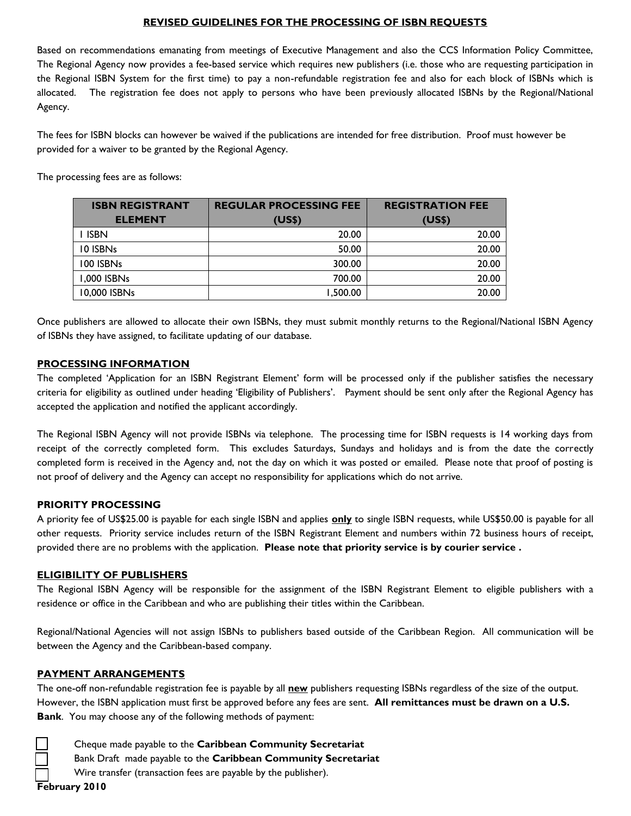## **REVISED GUIDELINES FOR THE PROCESSING OF ISBN REQUESTS**

Based on recommendations emanating from meetings of Executive Management and also the CCS Information Policy Committee, The Regional Agency now provides a fee-based service which requires new publishers (i.e. those who are requesting participation in the Regional ISBN System for the first time) to pay a non-refundable registration fee and also for each block of ISBNs which is allocated. The registration fee does not apply to persons who have been previously allocated ISBNs by the Regional/National Agency.

The fees for ISBN blocks can however be waived if the publications are intended for free distribution. Proof must however be provided for a waiver to be granted by the Regional Agency.

The processing fees are as follows:

| <b>ISBN REGISTRANT</b> | <b>REGULAR PROCESSING FEE</b> | <b>REGISTRATION FEE</b> |
|------------------------|-------------------------------|-------------------------|
| <b>ELEMENT</b>         | (US\$)                        | (US\$)                  |
| i Isbn                 | 20.00                         | 20.00                   |
| 10 ISBNs               | 50.00                         | 20.00                   |
| 100 ISBNs              | 300.00                        | 20.00                   |
| 1,000 ISBNs            | 700.00                        | 20.00                   |
| 10,000 ISBNs           | 1.500.00                      | 20.00                   |

Once publishers are allowed to allocate their own ISBNs, they must submit monthly returns to the Regional/National ISBN Agency of ISBNs they have assigned, to facilitate updating of our database.

#### **PROCESSING INFORMATION**

The completed 'Application for an ISBN Registrant Element' form will be processed only if the publisher satisfies the necessary criteria for eligibility as outlined under heading 'Eligibility of Publishers'. Payment should be sent only after the Regional Agency has accepted the application and notified the applicant accordingly.

The Regional ISBN Agency will not provide ISBNs via telephone. The processing time for ISBN requests is 14 working days from receipt of the correctly completed form. This excludes Saturdays, Sundays and holidays and is from the date the correctly completed form is received in the Agency and, not the day on which it was posted or emailed. Please note that proof of posting is not proof of delivery and the Agency can accept no responsibility for applications which do not arrive.

#### **PRIORITY PROCESSING**

A priority fee of US\$25.00 is payable for each single ISBN and applies **only** to single ISBN requests, while US\$50.00 is payable for all other requests. Priority service includes return of the ISBN Registrant Element and numbers within 72 business hours of receipt, provided there are no problems with the application. **Please note that priority service is by courier service .**

## **ELIGIBILITY OF PUBLISHERS**

The Regional ISBN Agency will be responsible for the assignment of the ISBN Registrant Element to eligible publishers with a residence or office in the Caribbean and who are publishing their titles within the Caribbean.

Regional/National Agencies will not assign ISBNs to publishers based outside of the Caribbean Region. All communication will be between the Agency and the Caribbean-based company.

## **PAYMENT ARRANGEMENTS**

The one-off non-refundable registration fee is payable by all **new** publishers requesting ISBNs regardless of the size of the output. However, the ISBN application must first be approved before any fees are sent. **All remittances must be drawn on a U.S. Bank**. You may choose any of the following methods of payment:

 Cheque made payable to the **Caribbean Community Secretariat** Bank Draft made payable to the **Caribbean Community Secretariat** 

Wire transfer (transaction fees are payable by the publisher).